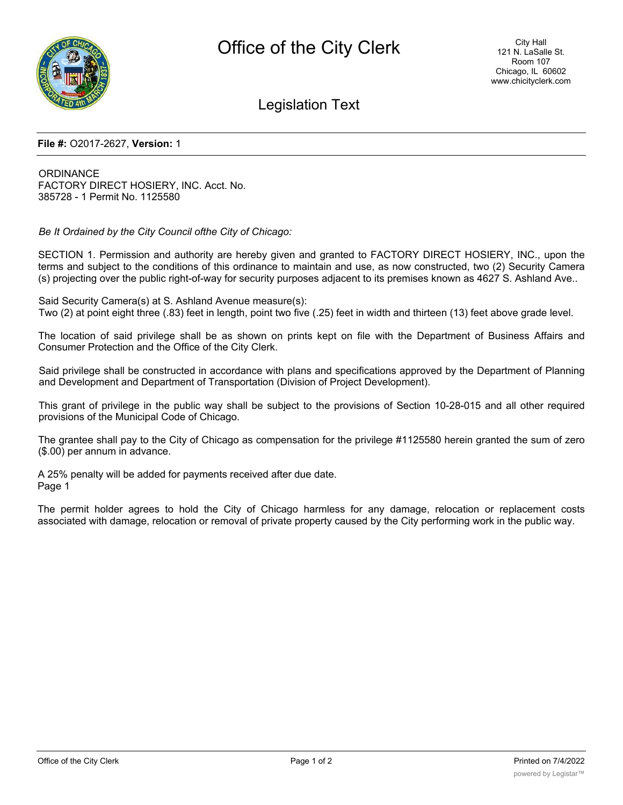

## Legislation Text

## **File #:** O2017-2627, **Version:** 1

**ORDINANCE** FACTORY DIRECT HOSIERY, INC. Acct. No. 385728 - 1 Permit No. 1125580

*Be It Ordained by the City Council ofthe City of Chicago:*

SECTION 1. Permission and authority are hereby given and granted to FACTORY DIRECT HOSIERY, INC., upon the terms and subject to the conditions of this ordinance to maintain and use, as now constructed, two (2) Security Camera (s) projecting over the public right-of-way for security purposes adjacent to its premises known as 4627 S. Ashland Ave..

Said Security Camera(s) at S. Ashland Avenue measure(s): Two (2) at point eight three (.83) feet in length, point two five (.25) feet in width and thirteen (13) feet above grade level.

The location of said privilege shall be as shown on prints kept on file with the Department of Business Affairs and Consumer Protection and the Office of the City Clerk.

Said privilege shall be constructed in accordance with plans and specifications approved by the Department of Planning and Development and Department of Transportation (Division of Project Development).

This grant of privilege in the public way shall be subject to the provisions of Section 10-28-015 and all other required provisions of the Municipal Code of Chicago.

The grantee shall pay to the City of Chicago as compensation for the privilege #1125580 herein granted the sum of zero (\$.00) per annum in advance.

A 25% penalty will be added for payments received after due date. Page 1

The permit holder agrees to hold the City of Chicago harmless for any damage, relocation or replacement costs associated with damage, relocation or removal of private property caused by the City performing work in the public way.